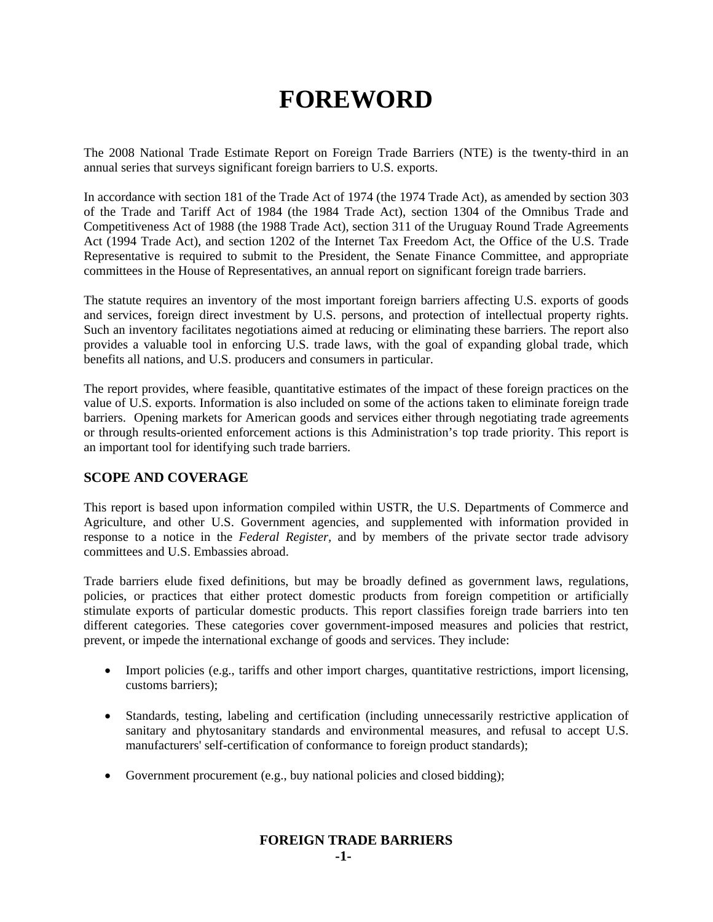# **FOREWORD**

The 2008 National Trade Estimate Report on Foreign Trade Barriers (NTE) is the twenty-third in an annual series that surveys significant foreign barriers to U.S. exports.

In accordance with section 181 of the Trade Act of 1974 (the 1974 Trade Act), as amended by section 303 of the Trade and Tariff Act of 1984 (the 1984 Trade Act), section 1304 of the Omnibus Trade and Competitiveness Act of 1988 (the 1988 Trade Act), section 311 of the Uruguay Round Trade Agreements Act (1994 Trade Act), and section 1202 of the Internet Tax Freedom Act, the Office of the U.S. Trade Representative is required to submit to the President, the Senate Finance Committee, and appropriate committees in the House of Representatives, an annual report on significant foreign trade barriers.

The statute requires an inventory of the most important foreign barriers affecting U.S. exports of goods and services, foreign direct investment by U.S. persons, and protection of intellectual property rights. Such an inventory facilitates negotiations aimed at reducing or eliminating these barriers. The report also provides a valuable tool in enforcing U.S. trade laws, with the goal of expanding global trade, which benefits all nations, and U.S. producers and consumers in particular.

The report provides, where feasible, quantitative estimates of the impact of these foreign practices on the value of U.S. exports. Information is also included on some of the actions taken to eliminate foreign trade barriers. Opening markets for American goods and services either through negotiating trade agreements or through results-oriented enforcement actions is this Administration's top trade priority. This report is an important tool for identifying such trade barriers.

## **SCOPE AND COVERAGE**

This report is based upon information compiled within USTR, the U.S. Departments of Commerce and Agriculture, and other U.S. Government agencies, and supplemented with information provided in response to a notice in the *Federal Register,* and by members of the private sector trade advisory committees and U.S. Embassies abroad.

Trade barriers elude fixed definitions, but may be broadly defined as government laws, regulations, policies, or practices that either protect domestic products from foreign competition or artificially stimulate exports of particular domestic products. This report classifies foreign trade barriers into ten different categories. These categories cover government-imposed measures and policies that restrict, prevent, or impede the international exchange of goods and services. They include:

- Import policies (e.g., tariffs and other import charges, quantitative restrictions, import licensing, customs barriers);
- Standards, testing, labeling and certification (including unnecessarily restrictive application of sanitary and phytosanitary standards and environmental measures, and refusal to accept U.S. manufacturers' self-certification of conformance to foreign product standards);
- Government procurement (e.g., buy national policies and closed bidding);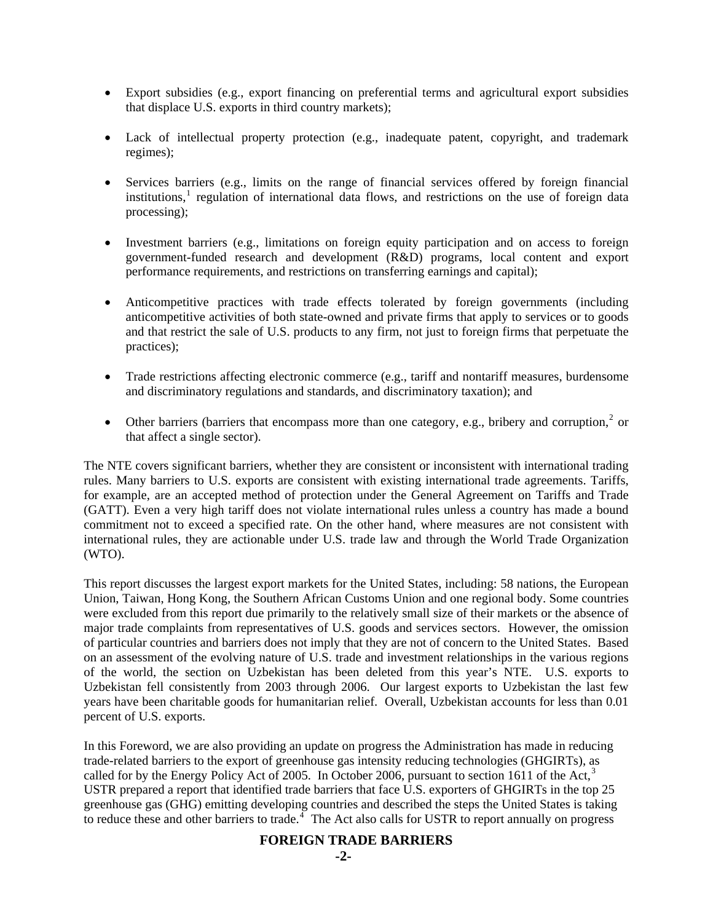- Export subsidies (e.g., export financing on preferential terms and agricultural export subsidies that displace U.S. exports in third country markets);
- Lack of intellectual property protection (e.g., inadequate patent, copyright, and trademark regimes);
- Services barriers (e.g., limits on the range of financial services offered by foreign financial institutions,<sup>[1](#page-6-0)</sup> regulation of international data flows, and restrictions on the use of foreign data processing);
- Investment barriers (e.g., limitations on foreign equity participation and on access to foreign government-funded research and development (R&D) programs, local content and export performance requirements, and restrictions on transferring earnings and capital);
- Anticompetitive practices with trade effects tolerated by foreign governments (including anticompetitive activities of both state-owned and private firms that apply to services or to goods and that restrict the sale of U.S. products to any firm, not just to foreign firms that perpetuate the practices);
- Trade restrictions affecting electronic commerce (e.g., tariff and nontariff measures, burdensome and discriminatory regulations and standards, and discriminatory taxation); and
- Other barriers (barriers that encompass more than one category, e.g., bribery and corruption, $2$  or that affect a single sector).

The NTE covers significant barriers, whether they are consistent or inconsistent with international trading rules. Many barriers to U.S. exports are consistent with existing international trade agreements. Tariffs, for example, are an accepted method of protection under the General Agreement on Tariffs and Trade (GATT). Even a very high tariff does not violate international rules unless a country has made a bound commitment not to exceed a specified rate. On the other hand, where measures are not consistent with international rules, they are actionable under U.S. trade law and through the World Trade Organization (WTO).

This report discusses the largest export markets for the United States, including: 58 nations, the European Union, Taiwan, Hong Kong, the Southern African Customs Union and one regional body. Some countries were excluded from this report due primarily to the relatively small size of their markets or the absence of major trade complaints from representatives of U.S. goods and services sectors. However, the omission of particular countries and barriers does not imply that they are not of concern to the United States. Based on an assessment of the evolving nature of U.S. trade and investment relationships in the various regions of the world, the section on Uzbekistan has been deleted from this year's NTE. U.S. exports to Uzbekistan fell consistently from 2003 through 2006. Our largest exports to Uzbekistan the last few years have been charitable goods for humanitarian relief. Overall, Uzbekistan accounts for less than 0.01 percent of U.S. exports.

In this Foreword, we are also providing an update on progress the Administration has made in reducing trade-related barriers to the export of greenhouse gas intensity reducing technologies (GHGIRTs), as called for by the Energy Policy Act of 2005. In October 2006, pursuant to section 1611 of the Act,<sup>[3](#page-6-1)</sup> USTR prepared a report that identified trade barriers that face U.S. exporters of GHGIRTs in the top 25 greenhouse gas (GHG) emitting developing countries and described the steps the United States is taking to reduce these and other barriers to trade.<sup>[4](#page-6-1)</sup> The Act also calls for USTR to report annually on progress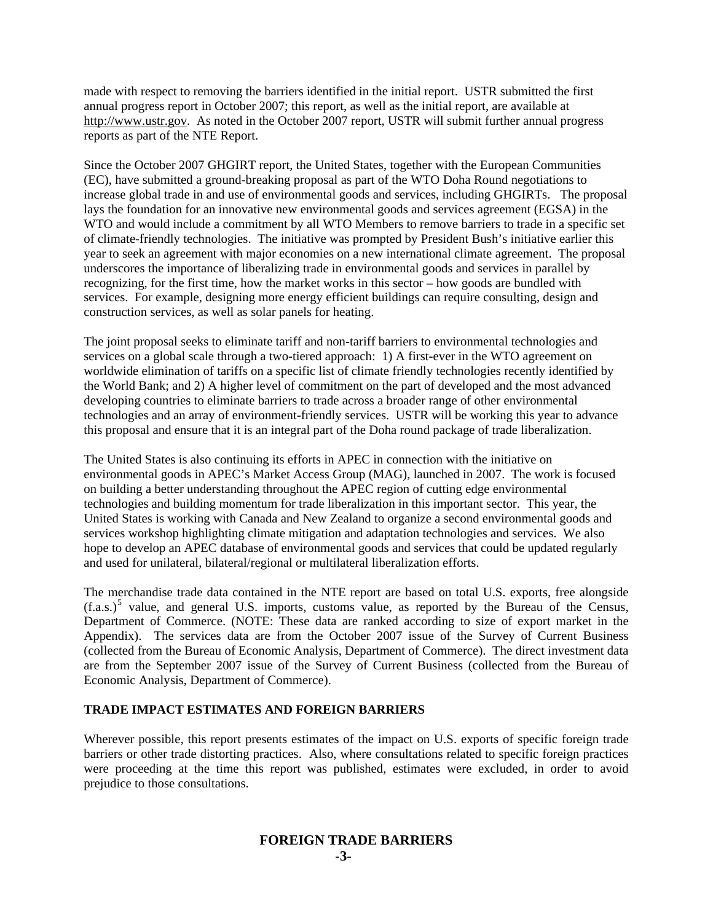made with respect to removing the barriers identified in the initial report. USTR submitted the first annual progress report in October 2007; this report, as well as the initial report, are available at http:/[/www.ustr.gov.](http://www.ustr.gov/) As noted in the October 2007 report, USTR will submit further annual progress reports as part of the NTE Report.

Since the October 2007 GHGIRT report, the United States, together with the European Communities (EC), have submitted a ground-breaking proposal as part of the WTO Doha Round negotiations to increase global trade in and use of environmental goods and services, including GHGIRTs. The proposal lays the foundation for an innovative new environmental goods and services agreement (EGSA) in the WTO and would include a commitment by all WTO Members to remove barriers to trade in a specific set of climate-friendly technologies. The initiative was prompted by President Bush's initiative earlier this year to seek an agreement with major economies on a new international climate agreement. The proposal underscores the importance of liberalizing trade in environmental goods and services in parallel by recognizing, for the first time, how the market works in this sector – how goods are bundled with services. For example, designing more energy efficient buildings can require consulting, design and construction services, as well as solar panels for heating.

The joint proposal seeks to eliminate tariff and non-tariff barriers to environmental technologies and services on a global scale through a two-tiered approach: 1) A first-ever in the WTO agreement on worldwide elimination of tariffs on a specific list of climate friendly technologies recently identified by the World Bank; and 2) A higher level of commitment on the part of developed and the most advanced developing countries to eliminate barriers to trade across a broader range of other environmental technologies and an array of environment-friendly services. USTR will be working this year to advance this proposal and ensure that it is an integral part of the Doha round package of trade liberalization.

The United States is also continuing its efforts in APEC in connection with the initiative on environmental goods in APEC's Market Access Group (MAG), launched in 2007. The work is focused on building a better understanding throughout the APEC region of cutting edge environmental technologies and building momentum for trade liberalization in this important sector. This year, the United States is working with Canada and New Zealand to organize a second environmental goods and services workshop highlighting climate mitigation and adaptation technologies and services. We also hope to develop an APEC database of environmental goods and services that could be updated regularly and used for unilateral, bilateral/regional or multilateral liberalization efforts.

The merchandise trade data contained in the NTE report are based on total U.S. exports, free alongside  $(f.a.s.)<sup>5</sup>$  $(f.a.s.)<sup>5</sup>$  $(f.a.s.)<sup>5</sup>$  value, and general U.S. imports, customs value, as reported by the Bureau of the Census, Department of Commerce. (NOTE: These data are ranked according to size of export market in the Appendix). The services data are from the October 2007 issue of the Survey of Current Business (collected from the Bureau of Economic Analysis, Department of Commerce). The direct investment data are from the September 2007 issue of the Survey of Current Business (collected from the Bureau of Economic Analysis, Department of Commerce).

### **TRADE IMPACT ESTIMATES AND FOREIGN BARRIERS**

Wherever possible, this report presents estimates of the impact on U.S. exports of specific foreign trade barriers or other trade distorting practices. Also, where consultations related to specific foreign practices were proceeding at the time this report was published, estimates were excluded, in order to avoid prejudice to those consultations.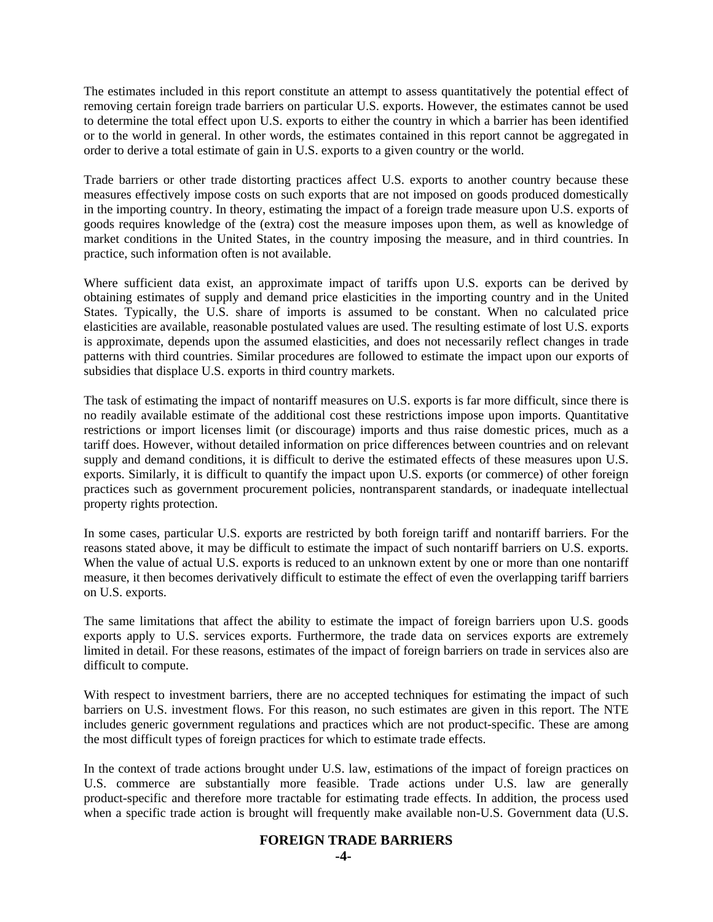The estimates included in this report constitute an attempt to assess quantitatively the potential effect of removing certain foreign trade barriers on particular U.S. exports. However, the estimates cannot be used to determine the total effect upon U.S. exports to either the country in which a barrier has been identified or to the world in general. In other words, the estimates contained in this report cannot be aggregated in order to derive a total estimate of gain in U.S. exports to a given country or the world.

Trade barriers or other trade distorting practices affect U.S. exports to another country because these measures effectively impose costs on such exports that are not imposed on goods produced domestically in the importing country. In theory, estimating the impact of a foreign trade measure upon U.S. exports of goods requires knowledge of the (extra) cost the measure imposes upon them, as well as knowledge of market conditions in the United States, in the country imposing the measure, and in third countries. In practice, such information often is not available.

Where sufficient data exist, an approximate impact of tariffs upon U.S. exports can be derived by obtaining estimates of supply and demand price elasticities in the importing country and in the United States. Typically, the U.S. share of imports is assumed to be constant. When no calculated price elasticities are available, reasonable postulated values are used. The resulting estimate of lost U.S. exports is approximate, depends upon the assumed elasticities, and does not necessarily reflect changes in trade patterns with third countries. Similar procedures are followed to estimate the impact upon our exports of subsidies that displace U.S. exports in third country markets.

The task of estimating the impact of nontariff measures on U.S. exports is far more difficult, since there is no readily available estimate of the additional cost these restrictions impose upon imports. Quantitative restrictions or import licenses limit (or discourage) imports and thus raise domestic prices, much as a tariff does. However, without detailed information on price differences between countries and on relevant supply and demand conditions, it is difficult to derive the estimated effects of these measures upon U.S. exports. Similarly, it is difficult to quantify the impact upon U.S. exports (or commerce) of other foreign practices such as government procurement policies, nontransparent standards, or inadequate intellectual property rights protection.

In some cases, particular U.S. exports are restricted by both foreign tariff and nontariff barriers. For the reasons stated above, it may be difficult to estimate the impact of such nontariff barriers on U.S. exports. When the value of actual U.S. exports is reduced to an unknown extent by one or more than one nontariff measure, it then becomes derivatively difficult to estimate the effect of even the overlapping tariff barriers on U.S. exports.

The same limitations that affect the ability to estimate the impact of foreign barriers upon U.S. goods exports apply to U.S. services exports. Furthermore, the trade data on services exports are extremely limited in detail. For these reasons, estimates of the impact of foreign barriers on trade in services also are difficult to compute.

With respect to investment barriers, there are no accepted techniques for estimating the impact of such barriers on U.S. investment flows. For this reason, no such estimates are given in this report. The NTE includes generic government regulations and practices which are not product-specific. These are among the most difficult types of foreign practices for which to estimate trade effects.

In the context of trade actions brought under U.S. law, estimations of the impact of foreign practices on U.S. commerce are substantially more feasible. Trade actions under U.S. law are generally product-specific and therefore more tractable for estimating trade effects. In addition, the process used when a specific trade action is brought will frequently make available non-U.S. Government data (U.S.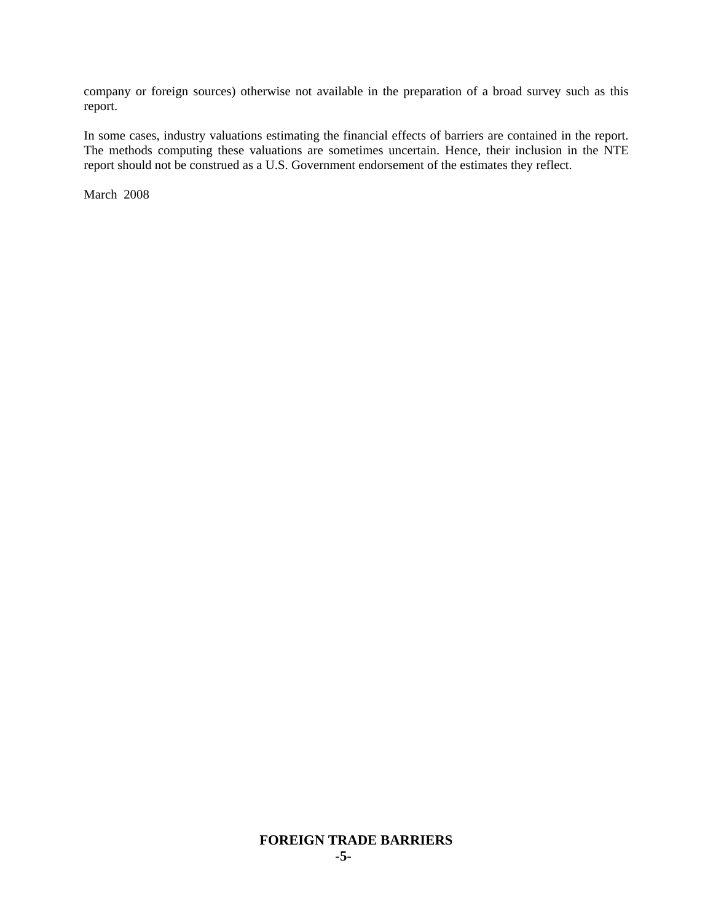company or foreign sources) otherwise not available in the preparation of a broad survey such as this report.

In some cases, industry valuations estimating the financial effects of barriers are contained in the report. The methods computing these valuations are sometimes uncertain. Hence, their inclusion in the NTE report should not be construed as a U.S. Government endorsement of the estimates they reflect.

March 2008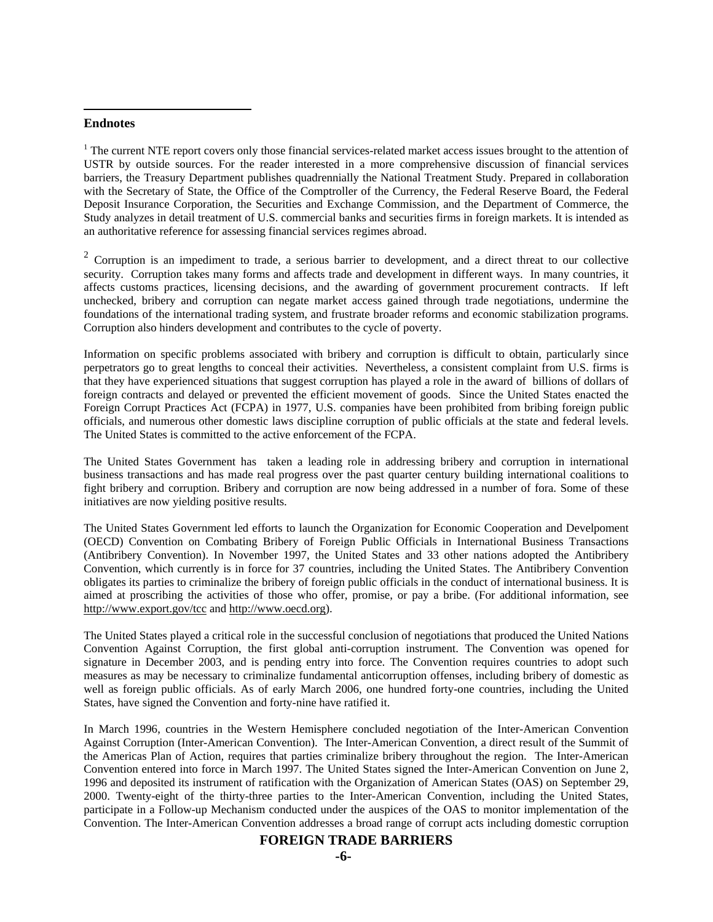#### **Endnotes**

 $\overline{a}$ 

 $1$  The current NTE report covers only those financial services-related market access issues brought to the attention of USTR by outside sources. For the reader interested in a more comprehensive discussion of financial services barriers, the Treasury Department publishes quadrennially the National Treatment Study. Prepared in collaboration with the Secretary of State, the Office of the Comptroller of the Currency, the Federal Reserve Board, the Federal Deposit Insurance Corporation, the Securities and Exchange Commission, and the Department of Commerce, the Study analyzes in detail treatment of U.S. commercial banks and securities firms in foreign markets. It is intended as an authoritative reference for assessing financial services regimes abroad.

<sup>2</sup> Corruption is an impediment to trade, a serious barrier to development, and a direct threat to our collective security. Corruption takes many forms and affects trade and development in different ways. In many countries, it affects customs practices, licensing decisions, and the awarding of government procurement contracts. If left unchecked, bribery and corruption can negate market access gained through trade negotiations, undermine the foundations of the international trading system, and frustrate broader reforms and economic stabilization programs. Corruption also hinders development and contributes to the cycle of poverty.

Information on specific problems associated with bribery and corruption is difficult to obtain, particularly since perpetrators go to great lengths to conceal their activities. Nevertheless, a consistent complaint from U.S. firms is that they have experienced situations that suggest corruption has played a role in the award of billions of dollars of foreign contracts and delayed or prevented the efficient movement of goods. Since the United States enacted the Foreign Corrupt Practices Act (FCPA) in 1977, U.S. companies have been prohibited from bribing foreign public officials, and numerous other domestic laws discipline corruption of public officials at the state and federal levels. The United States is committed to the active enforcement of the FCPA.

The United States Government has taken a leading role in addressing bribery and corruption in international business transactions and has made real progress over the past quarter century building international coalitions to fight bribery and corruption. Bribery and corruption are now being addressed in a number of fora. Some of these initiatives are now yielding positive results.

The United States Government led efforts to launch the Organization for Economic Cooperation and Develpoment (OECD) Convention on Combating Bribery of Foreign Public Officials in International Business Transactions (Antibribery Convention). In November 1997, the United States and 33 other nations adopted the Antibribery Convention, which currently is in force for 37 countries, including the United States. The Antibribery Convention obligates its parties to criminalize the bribery of foreign public officials in the conduct of international business. It is aimed at proscribing the activities of those who offer, promise, or pay a bribe. (For additional information, see http://[www.export.gov/tcc](http://www.export.gov/tcc) and http://[www.oecd.org\)](http://www.oecd.org/).

The United States played a critical role in the successful conclusion of negotiations that produced the United Nations Convention Against Corruption, the first global anti-corruption instrument. The Convention was opened for signature in December 2003, and is pending entry into force. The Convention requires countries to adopt such measures as may be necessary to criminalize fundamental anticorruption offenses, including bribery of domestic as well as foreign public officials. As of early March 2006, one hundred forty-one countries, including the United States, have signed the Convention and forty-nine have ratified it.

In March 1996, countries in the Western Hemisphere concluded negotiation of the Inter-American Convention Against Corruption (Inter-American Convention). The Inter-American Convention, a direct result of the Summit of the Americas Plan of Action, requires that parties criminalize bribery throughout the region. The Inter-American Convention entered into force in March 1997. The United States signed the Inter-American Convention on June 2, 1996 and deposited its instrument of ratification with the Organization of American States (OAS) on September 29, 2000. Twenty-eight of the thirty-three parties to the Inter-American Convention, including the United States, participate in a Follow-up Mechanism conducted under the auspices of the OAS to monitor implementation of the Convention. The Inter-American Convention addresses a broad range of corrupt acts including domestic corruption